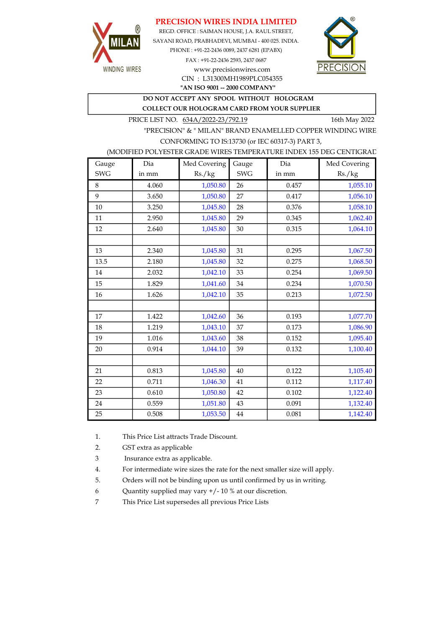#### PRECISION WIRES INDIA LIMITED



REGD. OFFICE : SAIMAN HOUSE, J.A. RAUL STREET, SAYANI ROAD, PRABHADEVI, MUMBAI - 400 025. INDIA. PHONE : +91-22-2436 0089, 2437 6281 (EPABX) FAX : +91-22-2436 2593, 2437 0687 www.precisionwires.com



"AN ISO 9001 -- 2000 COMPANY" CIN : L31300MH1989PLC054355

# DO NOT ACCEPT ANY SPOOL WITHOUT HOLOGRAM

COLLECT OUR HOLOGRAM CARD FROM YOUR SUPPLIER

PRICE LIST NO. 634A/2022-23/792.19 16th May 2022

"PRECISION" & " MILAN" BRAND ENAMELLED COPPER WINDING WIRE CONFORMING TO IS:13730 (or IEC 60317-3) PART 3,

#### (MODIFIED POLYESTER GRADE WIRES TEMPERATURE INDEX 155 DEG CENTIGRADE)

| Gauge      | Dia   | Med Covering | Gauge      | Dia   | Med Covering |
|------------|-------|--------------|------------|-------|--------------|
| <b>SWG</b> | in mm | Rs./kg       | <b>SWG</b> | in mm | Rs./kg       |
| 8          | 4.060 | 1,050.80     | 26         | 0.457 | 1,055.10     |
| 9          | 3.650 | 1,050.80     | 27         | 0.417 | 1,056.10     |
| 10         | 3.250 | 1,045.80     | 28         | 0.376 | 1,058.10     |
| 11         | 2.950 | 1,045.80     | 29         | 0.345 | 1,062.40     |
| 12         | 2.640 | 1,045.80     | 30         | 0.315 | 1,064.10     |
|            |       |              |            |       |              |
| 13         | 2.340 | 1,045.80     | 31         | 0.295 | 1,067.50     |
| 13.5       | 2.180 | 1,045.80     | 32         | 0.275 | 1,068.50     |
| 14         | 2.032 | 1,042.10     | 33         | 0.254 | 1,069.50     |
| 15         | 1.829 | 1,041.60     | 34         | 0.234 | 1,070.50     |
| 16         | 1.626 | 1,042.10     | 35         | 0.213 | 1,072.50     |
|            |       |              |            |       |              |
| 17         | 1.422 | 1,042.60     | 36         | 0.193 | 1,077.70     |
| 18         | 1.219 | 1,043.10     | 37         | 0.173 | 1,086.90     |
| 19         | 1.016 | 1,043.60     | 38         | 0.152 | 1,095.40     |
| 20         | 0.914 | 1,044.10     | 39         | 0.132 | 1,100.40     |
|            |       |              |            |       |              |
| 21         | 0.813 | 1,045.80     | 40         | 0.122 | 1,105.40     |
| 22         | 0.711 | 1,046.30     | 41         | 0.112 | 1,117.40     |
| 23         | 0.610 | 1,050.80     | 42         | 0.102 | 1,122.40     |
| 24         | 0.559 | 1,051.80     | 43         | 0.091 | 1,132.40     |
| 25         | 0.508 | 1,053.50     | $\bf 44$   | 0.081 | 1,142.40     |

1. This Price List attracts Trade Discount.

2. GST extra as applicable

3 Insurance extra as applicable.

4. For intermediate wire sizes the rate for the next smaller size will apply.

5. Orders will not be binding upon us until confirmed by us in writing.

6 Quantity supplied may vary +/- 10 % at our discretion.

7 This Price List supersedes all previous Price Lists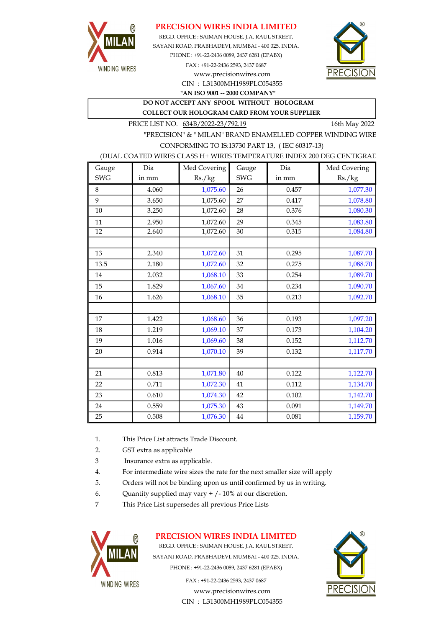

### PRECISION WIRES INDIA LIMITED

SAYANI ROAD, PRABHADEVI, MUMBAI - 400 025. INDIA. PHONE : +91-22-2436 0089, 2437 6281 (EPABX) REGD. OFFICE : SAIMAN HOUSE, J.A. RAUL STREET,

CIN : L31300MH1989PLC054355 FAX : +91-22-2436 2593, 2437 0687 www.precisionwires.com

"AN ISO 9001 -- 2000 COMPANY"

DO NOT ACCEPT ANY SPOOL WITHOUT HOLOGRAM COLLECT OUR HOLOGRAM CARD FROM YOUR SUPPLIER

PRICE LIST NO.  $634B/2022-23/792.19$  16th May 2022

"PRECISION" & " MILAN" BRAND ENAMELLED COPPER WINDING WIRE CONFORMING TO IS:13730 PART 13, ( IEC 60317-13)

#### (DUAL COATED WIRES CLASS H+ WIRES TEMPERATURE INDEX 200 DEG CENTIGRAD

| Gauge      | Dia   | Med Covering | Gauge      | Dia   | Med Covering |
|------------|-------|--------------|------------|-------|--------------|
| <b>SWG</b> | in mm | Rs./kg       | <b>SWG</b> | in mm | Rs./kg       |
| 8          | 4.060 | 1,075.60     | 26         | 0.457 | 1,077.30     |
| 9          | 3.650 | 1,075.60     | 27         | 0.417 | 1,078.80     |
| 10         | 3.250 | 1,072.60     | 28         | 0.376 | 1,080.30     |
| 11         | 2.950 | 1,072.60     | 29         | 0.345 | 1,083.80     |
| 12         | 2.640 | 1,072.60     | 30         | 0.315 | 1,084.80     |
|            |       |              |            |       |              |
| 13         | 2.340 | 1,072.60     | 31         | 0.295 | 1,087.70     |
| 13.5       | 2.180 | 1,072.60     | 32         | 0.275 | 1,088.70     |
| 14         | 2.032 | 1,068.10     | 33         | 0.254 | 1,089.70     |
| 15         | 1.829 | 1,067.60     | 34         | 0.234 | 1,090.70     |
| 16         | 1.626 | 1,068.10     | 35         | 0.213 | 1,092.70     |
|            |       |              |            |       |              |
| 17         | 1.422 | 1,068.60     | 36         | 0.193 | 1,097.20     |
| 18         | 1.219 | 1,069.10     | 37         | 0.173 | 1,104.20     |
| 19         | 1.016 | 1,069.60     | 38         | 0.152 | 1,112.70     |
| 20         | 0.914 | 1,070.10     | 39         | 0.132 | 1,117.70     |
|            |       |              |            |       |              |
| 21         | 0.813 | 1,071.80     | 40         | 0.122 | 1,122.70     |
| 22         | 0.711 | 1,072.30     | 41         | 0.112 | 1,134.70     |
| 23         | 0.610 | 1,074.30     | 42         | 0.102 | 1,142.70     |
| 24         | 0.559 | 1,075.30     | 43         | 0.091 | 1,149.70     |
| 25         | 0.508 | 1,076.30     | $\bf 44$   | 0.081 | 1,159.70     |

1. This Price List attracts Trade Discount.

- 2. GST extra as applicable
- 3 Insurance extra as applicable.
- 4. For intermediate wire sizes the rate for the next smaller size will apply
- 5. Orders will not be binding upon us until confirmed by us in writing.
- 6. Quantity supplied may vary  $+/-10\%$  at our discretion.
- 7 This Price List supersedes all previous Price Lists



# PRECISION WIRES INDIA LIMITED

REGD. OFFICE : SAIMAN HOUSE, J.A. RAUL STREET, SAYANI ROAD, PRABHADEVI, MUMBAI - 400 025. INDIA. PHONE : +91-22-2436 0089, 2437 6281 (EPABX)

> FAX : +91-22-2436 2593, 2437 0687 www.precisionwires.com CIN : L31300MH1989PLC054355